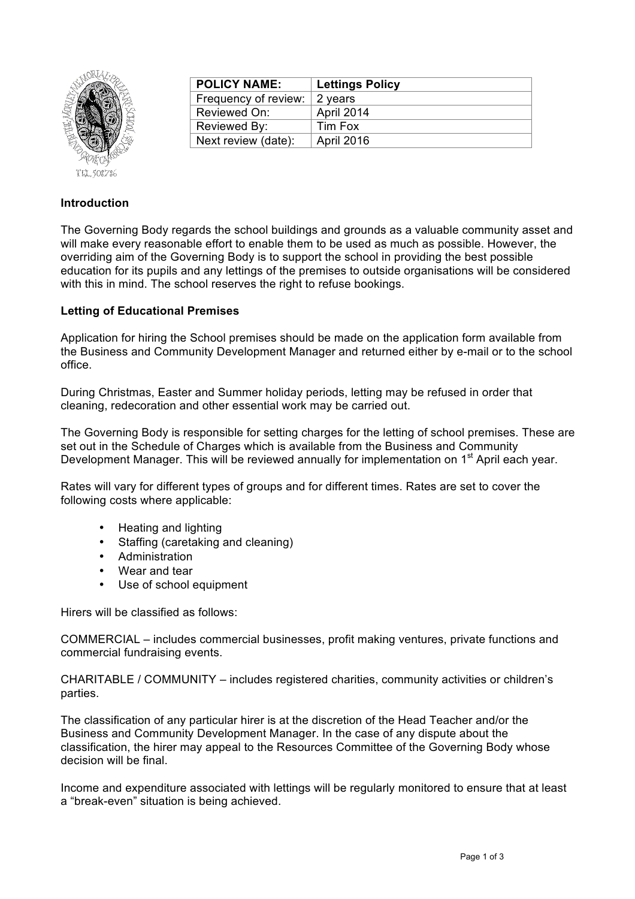

| <b>POLICY NAME:</b>  | <b>Lettings Policy</b> |
|----------------------|------------------------|
| Frequency of review: | 2 years                |
| Reviewed On:         | April 2014             |
| Reviewed By:         | Tim Fox                |
| Next review (date):  | April 2016             |

## **Introduction**

The Governing Body regards the school buildings and grounds as a valuable community asset and will make every reasonable effort to enable them to be used as much as possible. However, the overriding aim of the Governing Body is to support the school in providing the best possible education for its pupils and any lettings of the premises to outside organisations will be considered with this in mind. The school reserves the right to refuse bookings.

## **Letting of Educational Premises**

Application for hiring the School premises should be made on the application form available from the Business and Community Development Manager and returned either by e-mail or to the school office.

During Christmas, Easter and Summer holiday periods, letting may be refused in order that cleaning, redecoration and other essential work may be carried out.

The Governing Body is responsible for setting charges for the letting of school premises. These are set out in the Schedule of Charges which is available from the Business and Community Development Manager. This will be reviewed annually for implementation on 1<sup>st</sup> April each year.

Rates will vary for different types of groups and for different times. Rates are set to cover the following costs where applicable:

- Heating and lighting
- Staffing (caretaking and cleaning)
- Administration
- Wear and tear
- Use of school equipment

Hirers will be classified as follows:

COMMERCIAL – includes commercial businesses, profit making ventures, private functions and commercial fundraising events.

CHARITABLE / COMMUNITY – includes registered charities, community activities or children's parties.

The classification of any particular hirer is at the discretion of the Head Teacher and/or the Business and Community Development Manager. In the case of any dispute about the classification, the hirer may appeal to the Resources Committee of the Governing Body whose decision will be final.

Income and expenditure associated with lettings will be regularly monitored to ensure that at least a "break-even" situation is being achieved.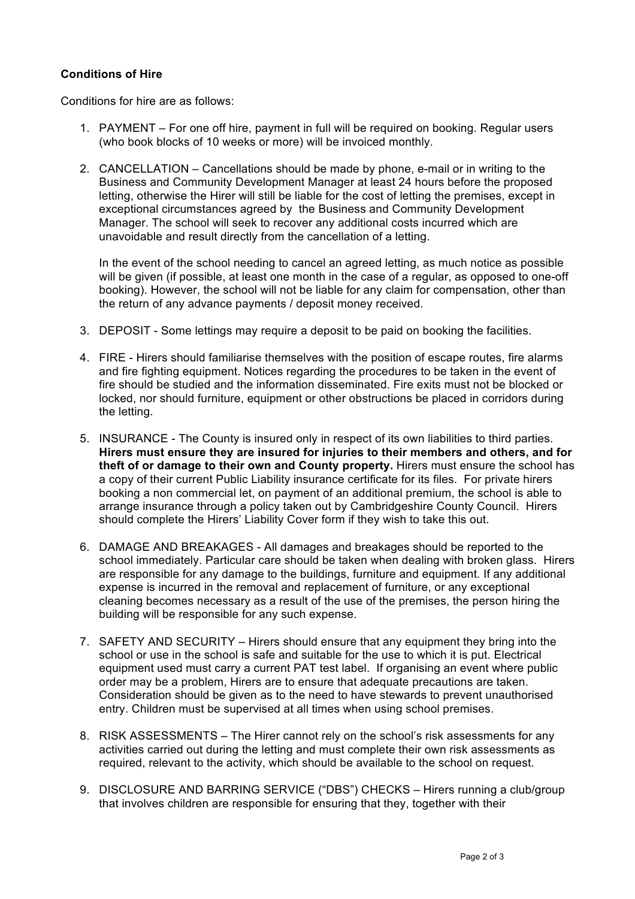## **Conditions of Hire**

Conditions for hire are as follows:

- 1. PAYMENT For one off hire, payment in full will be required on booking. Regular users (who book blocks of 10 weeks or more) will be invoiced monthly.
- 2. CANCELLATION Cancellations should be made by phone, e-mail or in writing to the Business and Community Development Manager at least 24 hours before the proposed letting, otherwise the Hirer will still be liable for the cost of letting the premises, except in exceptional circumstances agreed by the Business and Community Development Manager. The school will seek to recover any additional costs incurred which are unavoidable and result directly from the cancellation of a letting.

In the event of the school needing to cancel an agreed letting, as much notice as possible will be given (if possible, at least one month in the case of a regular, as opposed to one-off booking). However, the school will not be liable for any claim for compensation, other than the return of any advance payments / deposit money received.

- 3. DEPOSIT Some lettings may require a deposit to be paid on booking the facilities.
- 4. FIRE Hirers should familiarise themselves with the position of escape routes, fire alarms and fire fighting equipment. Notices regarding the procedures to be taken in the event of fire should be studied and the information disseminated. Fire exits must not be blocked or locked, nor should furniture, equipment or other obstructions be placed in corridors during the letting.
- 5. INSURANCE The County is insured only in respect of its own liabilities to third parties. **Hirers must ensure they are insured for injuries to their members and others, and for theft of or damage to their own and County property.** Hirers must ensure the school has a copy of their current Public Liability insurance certificate for its files. For private hirers booking a non commercial let, on payment of an additional premium, the school is able to arrange insurance through a policy taken out by Cambridgeshire County Council. Hirers should complete the Hirers' Liability Cover form if they wish to take this out.
- 6. DAMAGE AND BREAKAGES All damages and breakages should be reported to the school immediately. Particular care should be taken when dealing with broken glass. Hirers are responsible for any damage to the buildings, furniture and equipment. If any additional expense is incurred in the removal and replacement of furniture, or any exceptional cleaning becomes necessary as a result of the use of the premises, the person hiring the building will be responsible for any such expense.
- 7. SAFETY AND SECURITY Hirers should ensure that any equipment they bring into the school or use in the school is safe and suitable for the use to which it is put. Electrical equipment used must carry a current PAT test label. If organising an event where public order may be a problem, Hirers are to ensure that adequate precautions are taken. Consideration should be given as to the need to have stewards to prevent unauthorised entry. Children must be supervised at all times when using school premises.
- 8. RISK ASSESSMENTS The Hirer cannot rely on the school's risk assessments for any activities carried out during the letting and must complete their own risk assessments as required, relevant to the activity, which should be available to the school on request.
- 9. DISCLOSURE AND BARRING SERVICE ("DBS") CHECKS Hirers running a club/group that involves children are responsible for ensuring that they, together with their